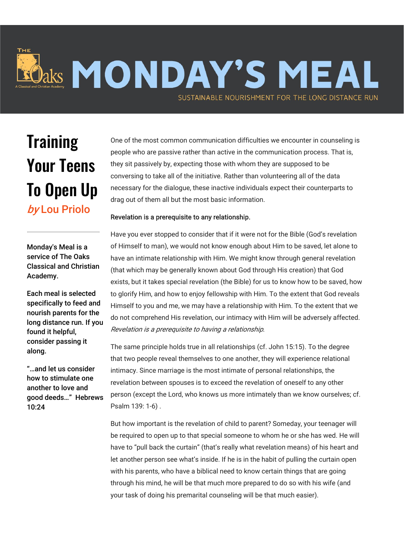## laks MONDAY'S MEAL SUSTAINABLE NOURISHMENT FOR THE LONG DISTANCE RUN

## **Training** Your Teens To Open Up by Lou Priolo

Monday's Meal is a service of The Oaks Classical and Christian Academy.

Each meal is selected specifically to feed and nourish parents for the long distance run. If you found it helpful, consider passing it along.

"…and let us consider how to stimulate one another to love and good deeds…" Hebrews 10:24

One of the most common communication difficulties we encounter in counseling is people who are passive rather than active in the communication process. That is, they sit passively by, expecting those with whom they are supposed to be conversing to take all of the initiative. Rather than volunteering all of the data necessary for the dialogue, these inactive individuals expect their counterparts to drag out of them all but the most basic information.

## Revelation is a prerequisite to any relationship.

Have you ever stopped to consider that if it were not for the Bible (God's revelation of Himself to man), we would not know enough about Him to be saved, let alone to have an intimate relationship with Him. We might know through general revelation (that which may be generally known about God through His creation) that God exists, but it takes special revelation (the Bible) for us to know how to be saved, how to glorify Him, and how to enjoy fellowship with Him. To the extent that God reveals Himself to you and me, we may have a relationship with Him. To the extent that we do not comprehend His revelation, our intimacy with Him will be adversely affected. Revelation is a prerequisite to having a relationship.

The same principle holds true in all relationships (cf. John 15:15). To the degree that two people reveal themselves to one another, they will experience relational intimacy. Since marriage is the most intimate of personal relationships, the revelation between spouses is to exceed the revelation of oneself to any other person (except the Lord, who knows us more intimately than we know ourselves; cf. Psalm 139: 1-6) .

But how important is the revelation of child to parent? Someday, your teenager will be required to open up to that special someone to whom he or she has wed. He will have to "pull back the curtain" (that's really what revelation means) of his heart and let another person see what's inside. If he is in the habit of pulling the curtain open with his parents, who have a biblical need to know certain things that are going through his mind, he will be that much more prepared to do so with his wife (and your task of doing his premarital counseling will be that much easier).